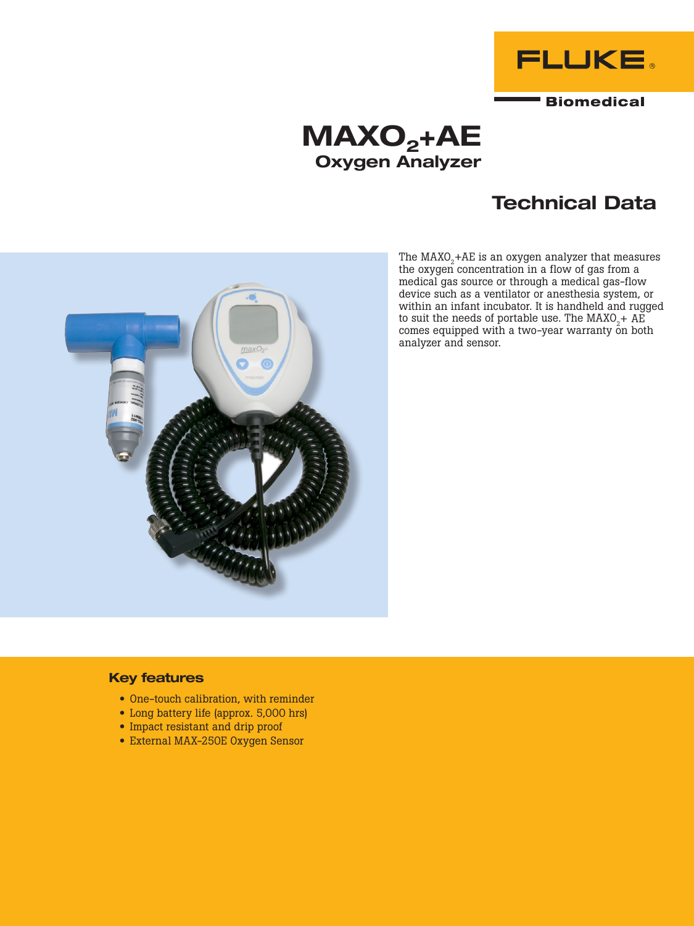

# $MAXO<sub>2</sub>+AE$ Oxygen Analyzer

# Technical Data





### Key features

- One-touch calibration, with reminder
- Long battery life (approx. 5,000 hrs)
- Impact resistant and drip proof
- External MAX-250E Oxygen Sensor